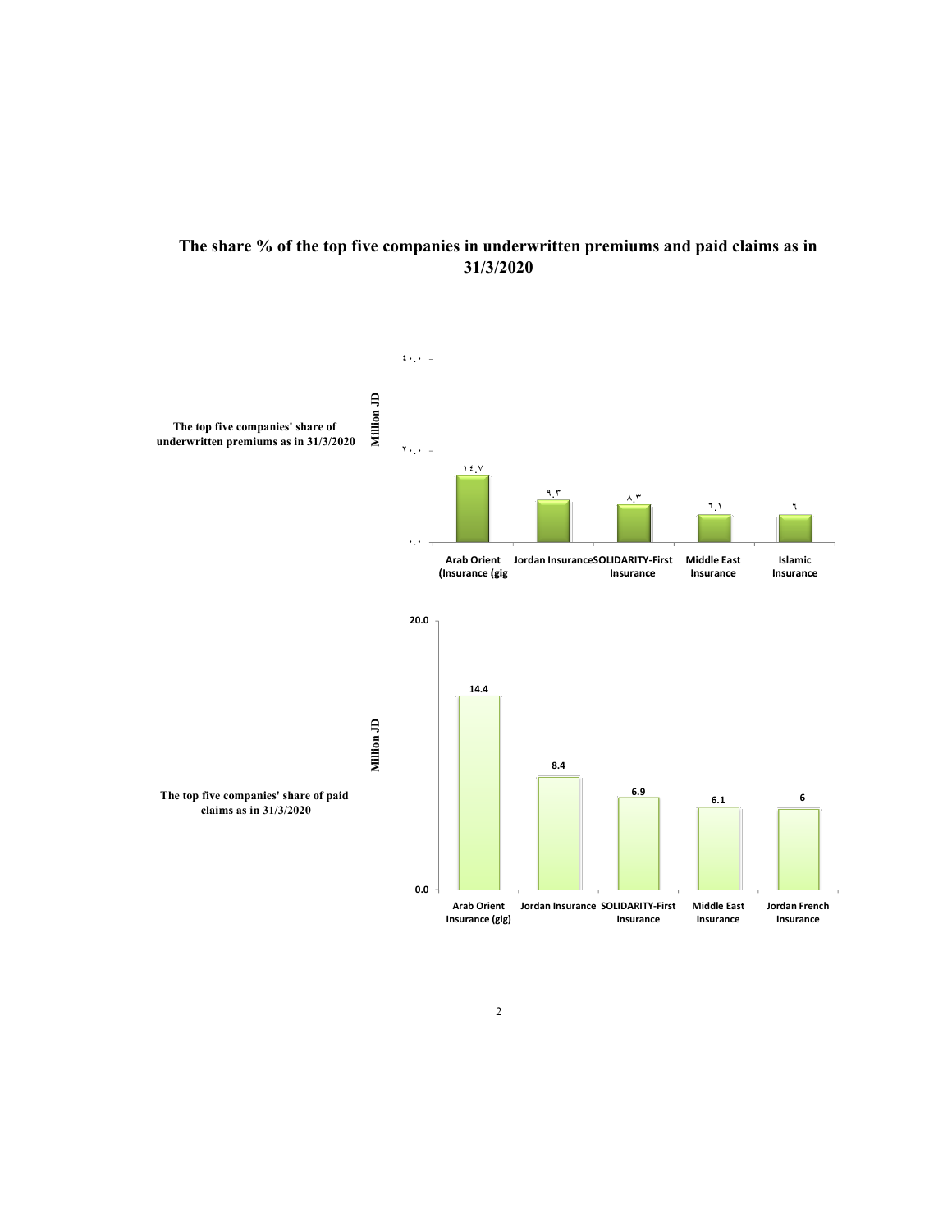

## The share % of the top five companies in underwritten premiums and paid claims as in 31/3/2020

0.0

Insurance (gig)

6.9

Jordan French Insurance

Arab Orient Jordan Insurance SOLIDARITY-First Insurance Middle East Insurance

6.1 6

The top five companies' share of paid<br>claims as in 31/3/2020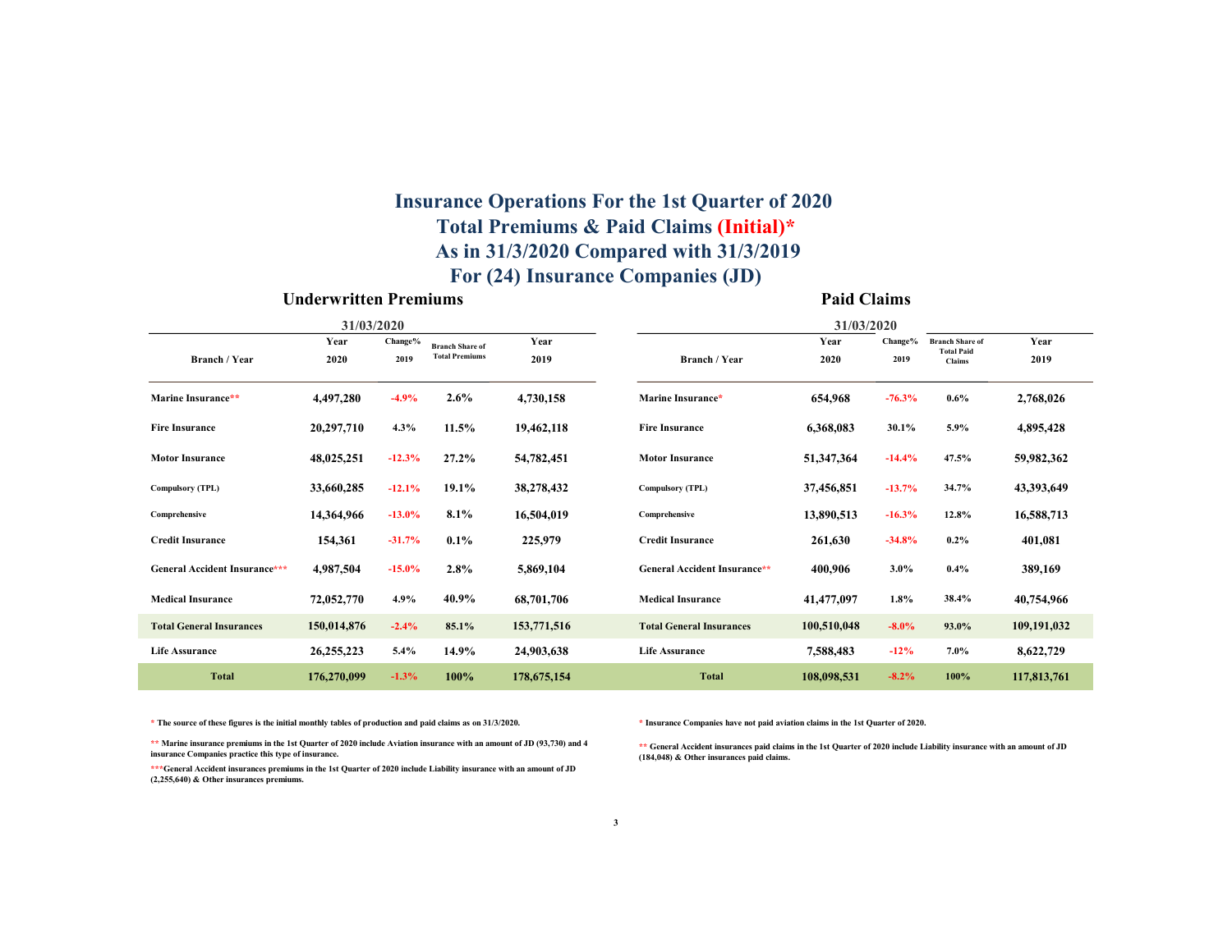## For (24) Insurance Companies (JD) Insurance Operations For the 1st Quarter of 2020 Total Premiums & Paid Claims (Initial)\* As in 31/3/2020 Compared with 31/3/2019

#### Underwritten Premiums Paid Claims

|                                 | 31/03/2020   |                 |                                                 |              | 31/03/2020                      |              |                 |                                                       |              |  |  |  |  |  |
|---------------------------------|--------------|-----------------|-------------------------------------------------|--------------|---------------------------------|--------------|-----------------|-------------------------------------------------------|--------------|--|--|--|--|--|
| <b>Branch / Year</b>            | Year<br>2020 | Change%<br>2019 | <b>Branch Share of</b><br><b>Total Premiums</b> | Year<br>2019 | <b>Branch / Year</b>            | Year<br>2020 | Change%<br>2019 | <b>Branch Share of</b><br><b>Total Paid</b><br>Claims | Year<br>2019 |  |  |  |  |  |
| Marine Insurance**              | 4,497,280    | $-4.9%$         | $2.6\%$                                         | 4,730,158    | Marine Insurance*               | 654,968      | $-76.3%$        | $0.6\%$                                               | 2,768,026    |  |  |  |  |  |
| <b>Fire Insurance</b>           | 20,297,710   | 4.3%            | 11.5%                                           | 19,462,118   | <b>Fire Insurance</b>           | 6,368,083    | $30.1\%$        | 5.9%                                                  | 4,895,428    |  |  |  |  |  |
| <b>Motor Insurance</b>          | 48,025,251   | $-12.3%$        | 27.2%                                           | 54,782,451   | <b>Motor Insurance</b>          | 51,347,364   | $-14.4%$        | 47.5%                                                 | 59,982,362   |  |  |  |  |  |
| <b>Compulsory (TPL)</b>         | 33,660,285   | $-12.1%$        | 19.1%                                           | 38,278,432   | <b>Compulsory (TPL)</b>         | 37,456,851   | $-13.7%$        | 34.7%                                                 | 43,393,649   |  |  |  |  |  |
| Comprehensive                   | 14,364,966   | $-13.0%$        | 8.1%                                            | 16,504,019   | Comprehensive                   | 13,890,513   | $-16.3%$        | 12.8%                                                 | 16,588,713   |  |  |  |  |  |
| <b>Credit Insurance</b>         | 154,361      | $-31.7%$        | $0.1\%$                                         | 225,979      | <b>Credit Insurance</b>         | 261,630      | $-34.8%$        | $0.2\%$                                               | 401,081      |  |  |  |  |  |
| General Accident Insurance***   | 4,987,504    | $-15.0%$        | 2.8%                                            | 5,869,104    | General Accident Insurance**    | 400,906      | $3.0\%$         | 0.4%                                                  | 389,169      |  |  |  |  |  |
| <b>Medical Insurance</b>        | 72,052,770   | 4.9%            | 40.9%                                           | 68,701,706   | <b>Medical Insurance</b>        | 41,477,097   | 1.8%            | 38.4%                                                 | 40,754,966   |  |  |  |  |  |
| <b>Total General Insurances</b> | 150,014,876  | $-2.4%$         | 85.1%                                           | 153,771,516  | <b>Total General Insurances</b> | 100,510,048  | $-8.0\%$        | 93.0%                                                 | 109,191,032  |  |  |  |  |  |
| <b>Life Assurance</b>           | 26, 255, 223 | 5.4%            | 14.9%                                           | 24,903,638   | <b>Life Assurance</b>           | 7,588,483    | $-12%$          | 7.0%                                                  | 8,622,729    |  |  |  |  |  |
| <b>Total</b>                    | 176,270,099  | $-1.3%$         | 100%                                            | 178,675,154  | <b>Total</b>                    | 108,098,531  | $-8.2\%$        | 100%                                                  | 117,813,761  |  |  |  |  |  |

\* The source of these figures is the initial monthly tables of production and paid claims as on 31/3/2020.

\*\* Marine insurance premiums in the 1st Quarter of 2020 include Aviation insurance with an amount of JD (93,730) and 4 insurance Companies practice this type of insurance.

\*\*\*General Accident insurances premiums in the 1st Quarter of 2020 include Liability insurance with an amount of JD (2,255,640) & Other insurances premiums.

\* Insurance Companies have not paid aviation claims in the 1st Quarter of 2020.

\*\* General Accident insurances paid claims in the 1st Quarter of 2020 include Liability insurance with an amount of JD (184,048) & Other insurances paid claims.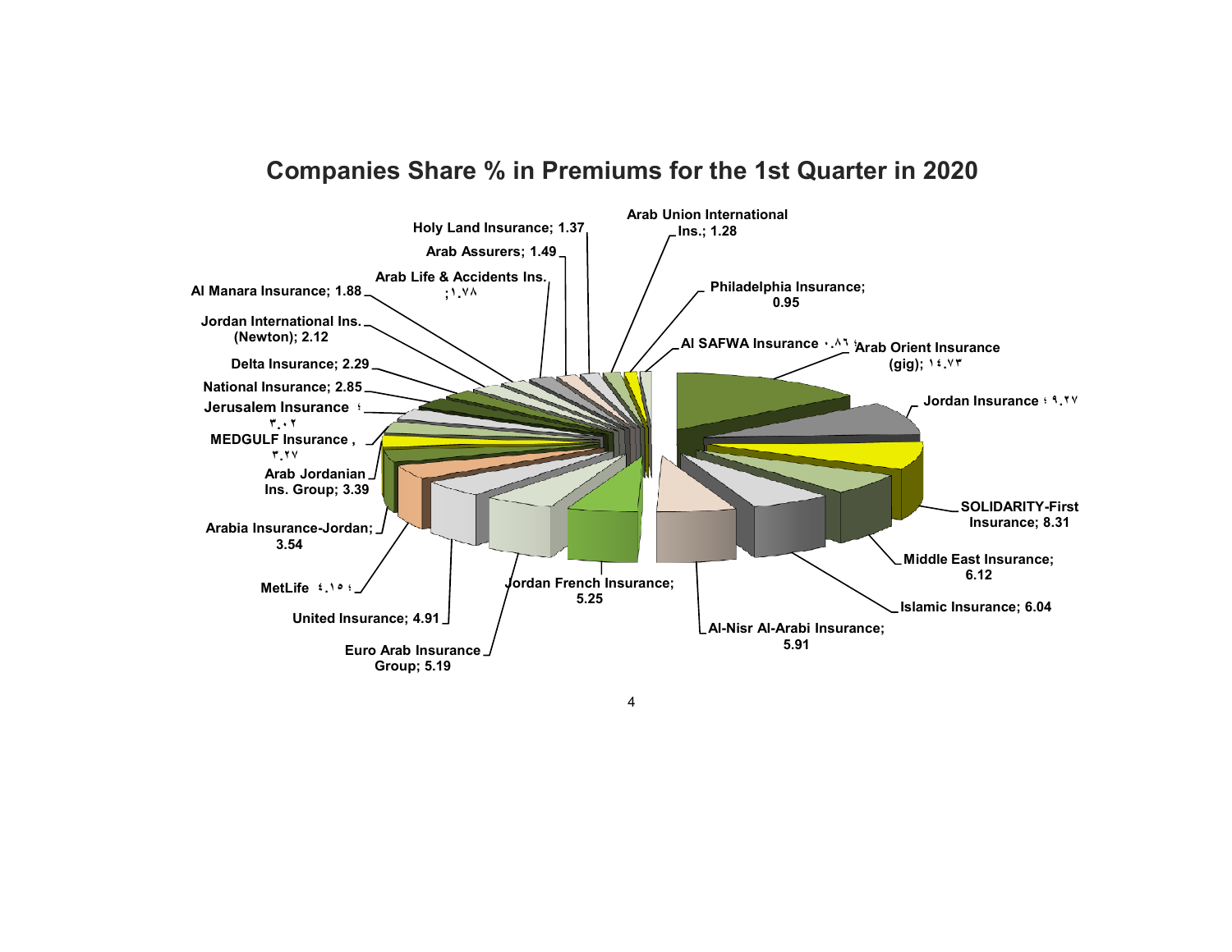# Companies Share % in Premiums for the 1st Quarter in 2020



4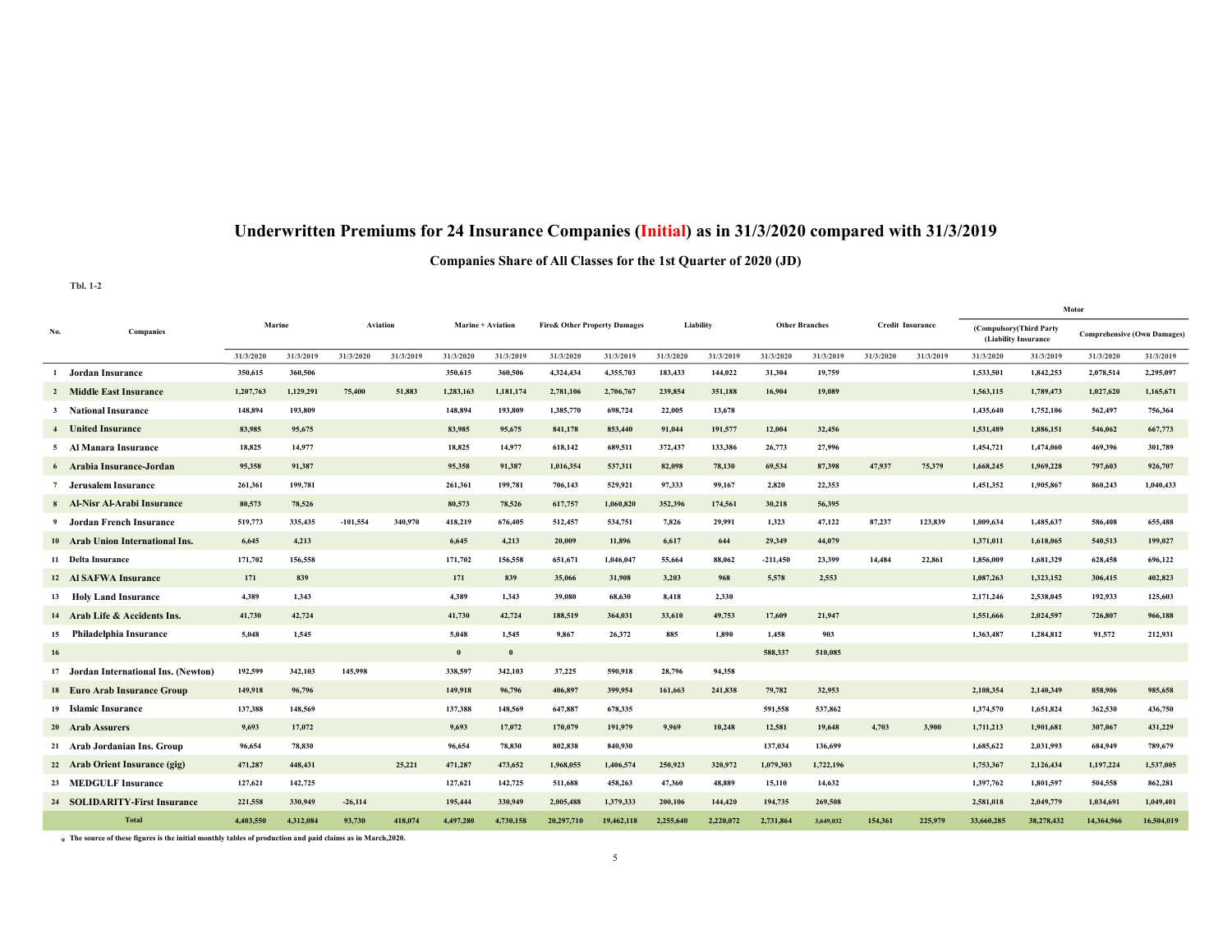## Underwritten Premiums for 24 Insurance Companies (Initial) as in 31/3/2020 compared with 31/3/2019

### Companies Share of All Classes for the 1st Quarter of 2020 (JD)

#### Tbl. 1-2

|                |                                       |           |           |            |           |                          |           |                                         |            |           |           |                       |           |                         |           | Motor                                           |            |                                    |            |
|----------------|---------------------------------------|-----------|-----------|------------|-----------|--------------------------|-----------|-----------------------------------------|------------|-----------|-----------|-----------------------|-----------|-------------------------|-----------|-------------------------------------------------|------------|------------------------------------|------------|
| No.            | Companies                             | Marine    |           | Aviation   |           | <b>Marine + Aviation</b> |           | <b>Fire&amp; Other Property Damages</b> |            | Liability |           | <b>Other Branches</b> |           | <b>Credit Insurance</b> |           | (Compulsory(Third Party<br>(Liability Insurance |            | <b>Comprehensive (Own Damages)</b> |            |
|                |                                       | 31/3/2020 | 31/3/2019 | 31/3/2020  | 31/3/2019 | 31/3/2020                | 31/3/2019 | 31/3/2020                               | 31/3/2019  | 31/3/2020 | 31/3/2019 | 31/3/2020             | 31/3/2019 | 31/3/2020               | 31/3/2019 | 31/3/2020                                       | 31/3/2019  | 31/3/2020                          | 31/3/2019  |
|                | 1 Jordan Insurance                    | 350,615   | 360,506   |            |           | 350,615                  | 360,506   | 4,324,434                               | 4,355,703  | 183,433   | 144,022   | 31,304                | 19,759    |                         |           | 1,533,501                                       | 1,842,253  | 2,078,514                          | 2,295,097  |
|                | 2 Middle East Insurance               | 1,207,763 | 1,129,291 | 75,400     | 51,883    | 1,283,163                | 1,181,174 | 2,781,106                               | 2,706,767  | 239,854   | 351,188   | 16,904                | 19,089    |                         |           | 1,563,115                                       | 1,789,473  | 1,027,620                          | 1,165,671  |
|                | 3 National Insurance                  | 148,894   | 193,809   |            |           | 148,894                  | 193,809   | 1,385,770                               | 698,724    | 22,005    | 13,678    |                       |           |                         |           | 1,435,640                                       | 1,752,106  | 562,497                            | 756,364    |
| $\overline{4}$ | <b>United Insurance</b>               | 83,985    | 95,675    |            |           | 83,985                   | 95,675    | 841,178                                 | 853,440    | 91,044    | 191,577   | 12,004                | 32,456    |                         |           | 1,531,489                                       | 1.886.151  | 546,062                            | 667,773    |
|                | 5 Al Manara Insurance                 | 18,825    | 14,977    |            |           | 18,825                   | 14,977    | 618,142                                 | 689,511    | 372,437   | 133,386   | 26,773                | 27,996    |                         |           | 1,454,721                                       | 1,474,060  | 469,396                            | 301,789    |
|                | 6 Arabia Insurance-Jordan             | 95,358    | 91,387    |            |           | 95,358                   | 91,387    | 1,016,354                               | 537,311    | 82,098    | 78,130    | 69,534                | 87,398    | 47,937                  | 75,379    | 1,668,245                                       | 1,969,228  | 797,603                            | 926,707    |
|                | Jerusalem Insurance                   | 261,361   | 199,781   |            |           | 261,361                  | 199,781   | 706,143                                 | 529,921    | 97,333    | 99,167    | 2,820                 | 22,353    |                         |           | 1,451,352                                       | 1,905,867  | 860,243                            | 1,040,433  |
|                | 8 Al-Nisr Al-Arabi Insurance          | 80,573    | 78,526    |            |           | 80,573                   | 78,526    | 617,757                                 | 1,060,820  | 352,396   | 174,561   | 30,218                | 56,395    |                         |           |                                                 |            |                                    |            |
| 9              | Jordan French Insurance               | 519,773   | 335,435   | $-101,554$ | 340,970   | 418,219                  | 676,405   | 512,457                                 | 534,751    | 7,826     | 29,991    | 1,323                 | 47,122    | 87,237                  | 123,839   | 1,009,634                                       | 1,485,637  | 586,408                            | 655,488    |
|                | 10 Arab Union International Ins.      | 6,645     | 4,213     |            |           | 6,645                    | 4,213     | 20,009                                  | 11,896     | 6,617     | 644       | 29,349                | 44,079    |                         |           | 1,371,011                                       | 1,618,065  | 540,513                            | 199,027    |
|                | 11 Delta Insurance                    | 171,702   | 156,558   |            |           | 171,702                  | 156,558   | 651,671                                 | 1,046,047  | 55,664    | 88,062    | $-211,450$            | 23,399    | 14,484                  | 22,861    | 1,856,009                                       | 1,681,329  | 628,458                            | 696,122    |
|                | 12 Al SAFWA Insurance                 | 171       | 839       |            |           | 171                      | 839       | 35,066                                  | 31,908     | 3,203     | 968       | 5,578                 | 2,553     |                         |           | 1,087,263                                       | 1,323,152  | 306,415                            | 402,823    |
|                | 13 Holy Land Insurance                | 4,389     | 1,343     |            |           | 4,389                    | 1,343     | 39,080                                  | 68,630     | 8,418     | 2,330     |                       |           |                         |           | 2,171,246                                       | 2,538,045  | 192,933                            | 125,603    |
|                | 14 Arab Life & Accidents Ins.         | 41,730    | 42,724    |            |           | 41,730                   | 42,724    | 188,519                                 | 364,031    | 33,610    | 49,753    | 17,609                | 21,947    |                         |           | 1,551,666                                       | 2,024,597  | 726,807                            | 966,188    |
|                | 15 Philadelphia Insurance             | 5.048     | 1,545     |            |           | 5,048                    | 1,545     | 9,867                                   | 26,372     | 885       | 1,890     | 1,458                 | 903       |                         |           | 1,363,487                                       | 1,284,812  | 91.572                             | 212.931    |
| 16             |                                       |           |           |            |           | $\bf{0}$                 | $\bf{0}$  |                                         |            |           |           | 588,337               | 510,085   |                         |           |                                                 |            |                                    |            |
|                | 17 Jordan International Ins. (Newton) | 192,599   | 342,103   | 145,998    |           | 338,597                  | 342,103   | 37,225                                  | 590,918    | 28,796    | 94,358    |                       |           |                         |           |                                                 |            |                                    |            |
|                | 18 Euro Arab Insurance Group          | 149,918   | 96,796    |            |           | 149,918                  | 96,796    | 406,897                                 | 399,954    | 161,663   | 241,838   | 79,782                | 32,953    |                         |           | 2,108,354                                       | 2,140,349  | 858,906                            | 985,658    |
|                | 19 Islamic Insurance                  | 137,388   | 148,569   |            |           | 137,388                  | 148,569   | 647,887                                 | 678,335    |           |           | 591,558               | 537,862   |                         |           | 1,374,570                                       | 1,651,824  | 362,530                            | 436,750    |
|                | 20 Arab Assurers                      | 9,693     | 17,072    |            |           | 9,693                    | 17,072    | 170,079                                 | 191,979    | 9,969     | 10,248    | 12,581                | 19,648    | 4,703                   | 3,900     | 1,711,213                                       | 1,901,681  | 307,067                            | 431,229    |
|                | 21 Arab Jordanian Ins. Group          | 96,654    | 78,830    |            |           | 96,654                   | 78,830    | 802,838                                 | 840,930    |           |           | 137,034               | 136,699   |                         |           | 1,685,622                                       | 2,031,993  | 684,949                            | 789,679    |
|                | 22 Arab Orient Insurance (gig)        | 471,287   | 448,431   |            | 25,221    | 471,287                  | 473,652   | 1,968,055                               | 1,406,574  | 250.923   | 320,972   | 1,079,303             | 1,722,196 |                         |           | 1,753,367                                       | 2,126,434  | 1.197.224                          | 1.537,005  |
|                | 23 MEDGULF Insurance                  | 127,621   | 142,725   |            |           | 127,621                  | 142,725   | 511,688                                 | 458,263    | 47,360    | 48,889    | 15,110                | 14,632    |                         |           | 1,397,762                                       | 1,801,597  | 504,558                            | 862,281    |
|                | 24 SOLIDARITY-First Insurance         | 221,558   | 330,949   | $-26,114$  |           | 195,444                  | 330,949   | 2,005,488                               | 1,379,333  | 200,106   | 144,420   | 194,735               | 269,508   |                         |           | 2,581,018                                       | 2,049,779  | 1,034,691                          | 1,049,401  |
|                | <b>Total</b>                          | 4,403,550 | 4,312,084 | 93,730     | 418.074   | 4,497,280                | 4,730,158 | 20,297,710                              | 19,462,118 | 2,255,640 | 2,220,072 | 2,731,864             | 3,649,032 | 154,361                 | 225,979   | 33,660,285                                      | 38,278,432 | 14,364,966                         | 16.504.019 |

 $\star$  The source of these figures is the initial monthly tables of production and paid claims as in March,2020.